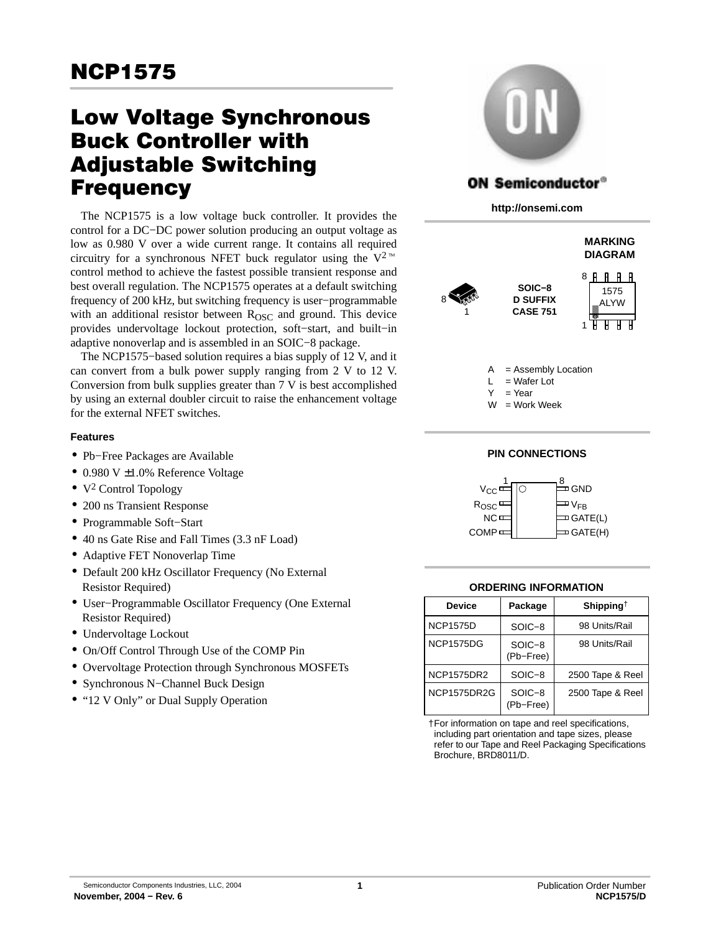# Low Voltage Synchronous Buck Controller with Adjustable Switching **Frequency**

The NCP1575 is a low voltage buck controller. It provides the control for a DC−DC power solution producing an output voltage as low as 0.980 V over a wide current range. It contains all required low as 0.980 V over a wide current range. It contains all required circuitry for a synchronous NFET buck regulator using the  $V^{2}$ <sup>M</sup> control method to achieve the fastest possible transient response and best overall regulation. The NCP1575 operates at a default switching frequency of 200 kHz, but switching frequency is user−programmable with an additional resistor between  $R<sub>OSC</sub>$  and ground. This device provides undervoltage lockout protection, soft−start, and built−in adaptive nonoverlap and is assembled in an SOIC−8 package.

The NCP1575−based solution requires a bias supply of 12 V, and it can convert from a bulk power supply ranging from 2 V to 12 V. Conversion from bulk supplies greater than 7 V is best accomplished by using an external doubler circuit to raise the enhancement voltage for the external NFET switches.

# **Features**

- Pb−Free Packages are Available
- 0.980 V ±1.0% Reference Voltage
- $\bullet$  V<sup>2</sup> Control Topology
- 200 ns Transient Response
- Programmable Soft−Start
- 40 ns Gate Rise and Fall Times (3.3 nF Load)
- Adaptive FET Nonoverlap Time
- Default 200 kHz Oscillator Frequency (No External Resistor Required)
- User−Programmable Oscillator Frequency (One External Resistor Required)
- Undervoltage Lockout
- On/Off Control Through Use of the COMP Pin
- Overvoltage Protection through Synchronous MOSFETs
- Synchronous N−Channel Buck Design
- "12 V Only" or Dual Supply Operation



# **ON Semiconductor®**

**http://onsemi.com**



# **PIN CONNECTIONS**



#### **ORDERING INFORMATION**

| <b>Device</b>     | Package             | Shipping <sup>†</sup> |
|-------------------|---------------------|-----------------------|
| <b>NCP1575D</b>   | SOIC-8              | 98 Units/Rail         |
| <b>NCP1575DG</b>  | SOIC-8<br>(Pb-Free) | 98 Units/Rail         |
| <b>NCP1575DR2</b> | SOIC-8              | 2500 Tape & Reel      |
| NCP1575DR2G       | SOIC-8<br>(Pb-Free) | 2500 Tape & Reel      |

†For information on tape and reel specifications, including part orientation and tape sizes, please refer to our Tape and Reel Packaging Specifications Brochure, BRD8011/D.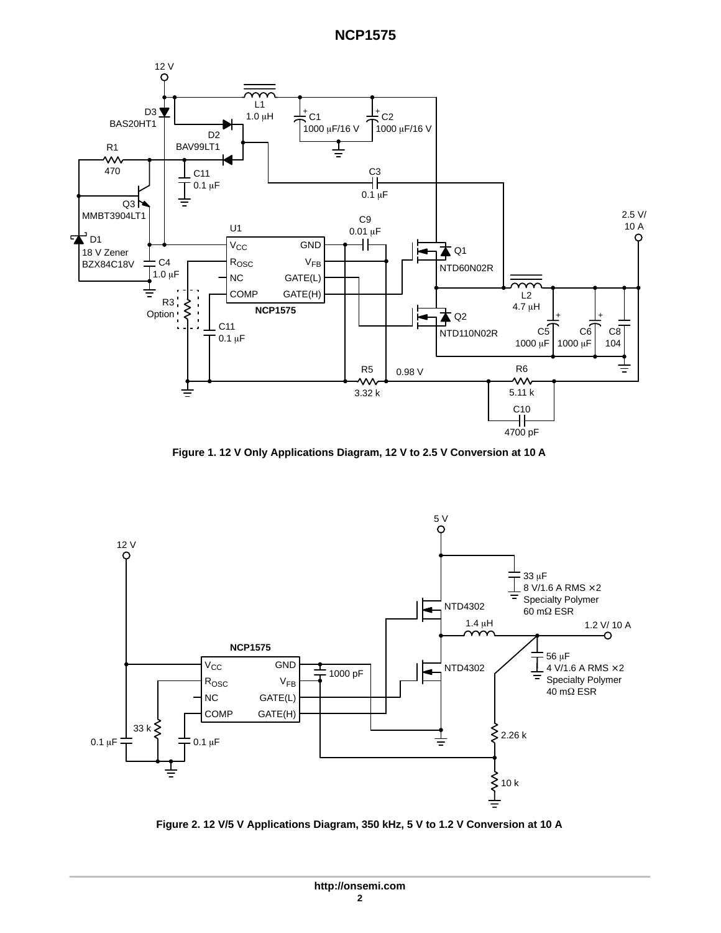<span id="page-1-0"></span>

**Figure 1. 12 V Only Applications Diagram, 12 V to 2.5 V Conversion at 10 A**



**Figure 2. 12 V/5 V Applications Diagram, 350 kHz, 5 V to 1.2 V Conversion at 10 A**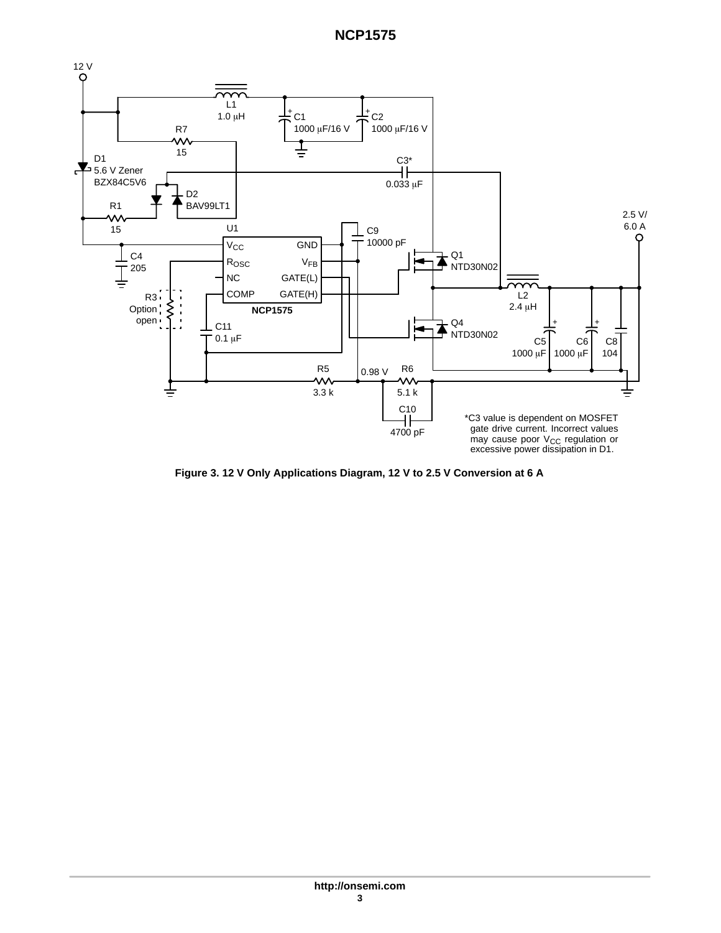

**Figure 3. 12 V Only Applications Diagram, 12 V to 2.5 V Conversion at 6 A**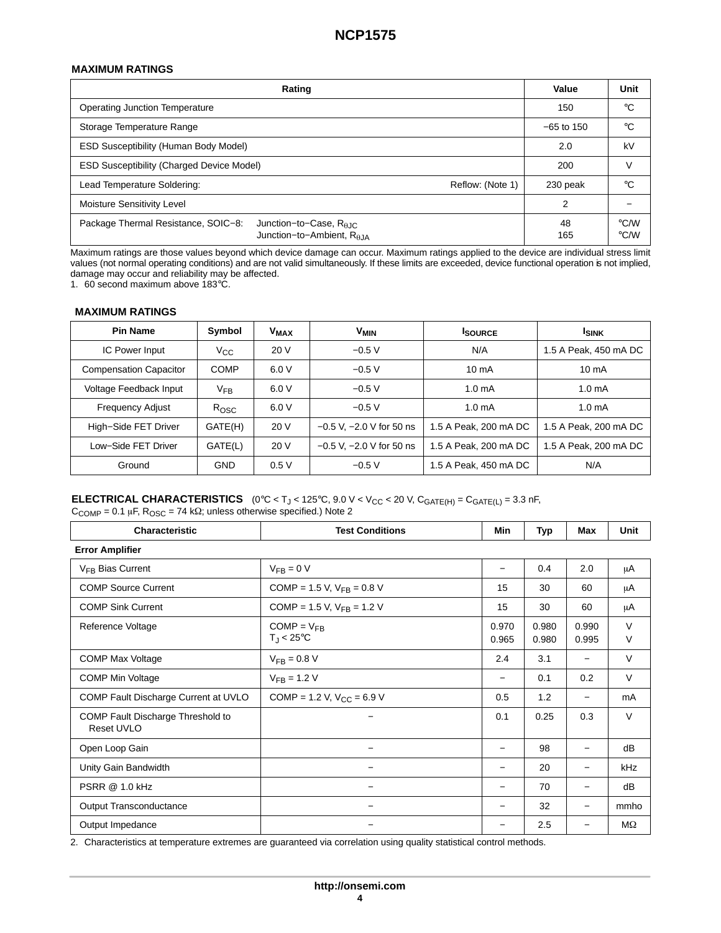## **MAXIMUM RATINGS**

| Rating                                                                                                            | Value        | Unit                                |
|-------------------------------------------------------------------------------------------------------------------|--------------|-------------------------------------|
| <b>Operating Junction Temperature</b>                                                                             | 150          | $^{\circ}C$                         |
| Storage Temperature Range                                                                                         | $-65$ to 150 | °C                                  |
| <b>ESD Susceptibility (Human Body Model)</b>                                                                      | 2.0          | kV                                  |
| ESD Susceptibility (Charged Device Model)                                                                         | 200          |                                     |
| Lead Temperature Soldering:<br>Reflow: (Note 1)                                                                   | 230 peak     | °C                                  |
| <b>Moisture Sensitivity Level</b>                                                                                 | 2            |                                     |
| Package Thermal Resistance, SOIC-8:<br>Junction-to-Case, $R_{\theta$ JC<br>Junction-to-Ambient, R <sub>6.IA</sub> | 48<br>165    | $\rm ^{\circ}$ C/W<br>$\degree$ C/W |

Maximum ratings are those values beyond which device damage can occur. Maximum ratings applied to the device are individual stress limit values (not normal operating conditions) and are not valid simultaneously. If these limits are exceeded, device functional operation is not implied, damage may occur and reliability may be affected.

1. 60 second maximum above 183°C.

### **MAXIMUM RATINGS**

| <b>Pin Name</b>               | Symbol      | <b>V<sub>MAX</sub></b> | <b>V<sub>MIN</sub></b>       | <b>ISOURCE</b>        | <b>ISINK</b>          |
|-------------------------------|-------------|------------------------|------------------------------|-----------------------|-----------------------|
| IC Power Input                | Vcc         | 20 V                   | $-0.5V$                      | N/A                   | 1.5 A Peak, 450 mA DC |
| <b>Compensation Capacitor</b> | <b>COMP</b> | 6.0V                   | $-0.5 V$                     | $10 \text{ mA}$       | $10 \text{ mA}$       |
| Voltage Feedback Input        | $V_{FB}$    | 6.0V                   | $-0.5 V$                     | 1.0 <sub>m</sub> A    | 1.0 <sub>m</sub> A    |
| <b>Frequency Adjust</b>       | Rosc        | 6.0V                   | $-0.5 V$                     | 1.0 <sub>m</sub> A    | 1.0 <sub>m</sub> A    |
| High-Side FET Driver          | GATE(H)     | 20 V                   | $-0.5$ V, $-2.0$ V for 50 ns | 1.5 A Peak, 200 mA DC | 1.5 A Peak, 200 mA DC |
| Low-Side FET Driver           | GATE(L)     | 20 V                   | $-0.5$ V, $-2.0$ V for 50 ns | 1.5 A Peak, 200 mA DC | 1.5 A Peak, 200 mA DC |
| Ground                        | <b>GND</b>  | 0.5V                   | $-0.5V$                      | 1.5 A Peak, 450 mA DC | N/A                   |

### **ELECTRICAL CHARACTERISTICS**  $(0^{\circ}C < T_J < 125^{\circ}C, 9.0 V < V_{CC} < 20 V, C_{GATE(H)} = C_{GATE(L)} = 3.3 nF,$  $C_{\text{COMP}} = 0.1 \mu F$ ,  $R_{\text{OSC}} = 74 \kappa\Omega$ ; unless otherwise specified.) Note 2

| Characteristic                                  | <b>Test Conditions</b>                           | Min             | <b>Typ</b>     | Max                      | Unit        |
|-------------------------------------------------|--------------------------------------------------|-----------------|----------------|--------------------------|-------------|
| <b>Error Amplifier</b>                          |                                                  |                 |                |                          |             |
| V <sub>FR</sub> Bias Current                    | $V_{FR} = 0 V$                                   |                 | 0.4            | 2.0                      | μA          |
| <b>COMP Source Current</b>                      | COMP = 1.5 V, $V_{FB}$ = 0.8 V                   | 15              | 30             | 60                       | μA          |
| <b>COMP Sink Current</b>                        | COMP = 1.5 V, $V_{FB}$ = 1.2 V                   | 15              | 30             | 60                       | μA          |
| Reference Voltage                               | $COMP = V_{FB}$<br>$T_{\rm J}$ < 25 $^{\circ}$ C | 0.970<br>0.965  | 0.980<br>0.980 | 0.990<br>0.995           | $\vee$<br>V |
| <b>COMP Max Voltage</b>                         | $V_{FB} = 0.8 V$                                 | 2.4             | 3.1            |                          | V           |
| <b>COMP Min Voltage</b>                         | $V_{FB} = 1.2 V$                                 |                 | 0.1            | 0.2                      | V           |
| COMP Fault Discharge Current at UVLO            | COMP = 1.2 V, $V_{CC}$ = 6.9 V                   | 0.5             | 1.2            | $\overline{\phantom{0}}$ | mA          |
| COMP Fault Discharge Threshold to<br>Reset UVLO |                                                  | 0.1             | 0.25           | 0.3                      | $\vee$      |
| Open Loop Gain                                  |                                                  | $\qquad \qquad$ | 98             | $\overline{\phantom{0}}$ | dB          |
| Unity Gain Bandwidth                            | $\overline{\phantom{0}}$                         |                 | 20             | $\overline{\phantom{0}}$ | <b>kHz</b>  |
| <b>PSRR @ 1.0 kHz</b>                           |                                                  |                 | 70             | $\overline{\phantom{0}}$ | dB          |
| Output Transconductance                         | -                                                |                 | 32             | $\overline{\phantom{0}}$ | mmho        |
| Output Impedance                                |                                                  |                 | 2.5            |                          | ΜΩ          |

2. Characteristics at temperature extremes are guaranteed via correlation using quality statistical control methods.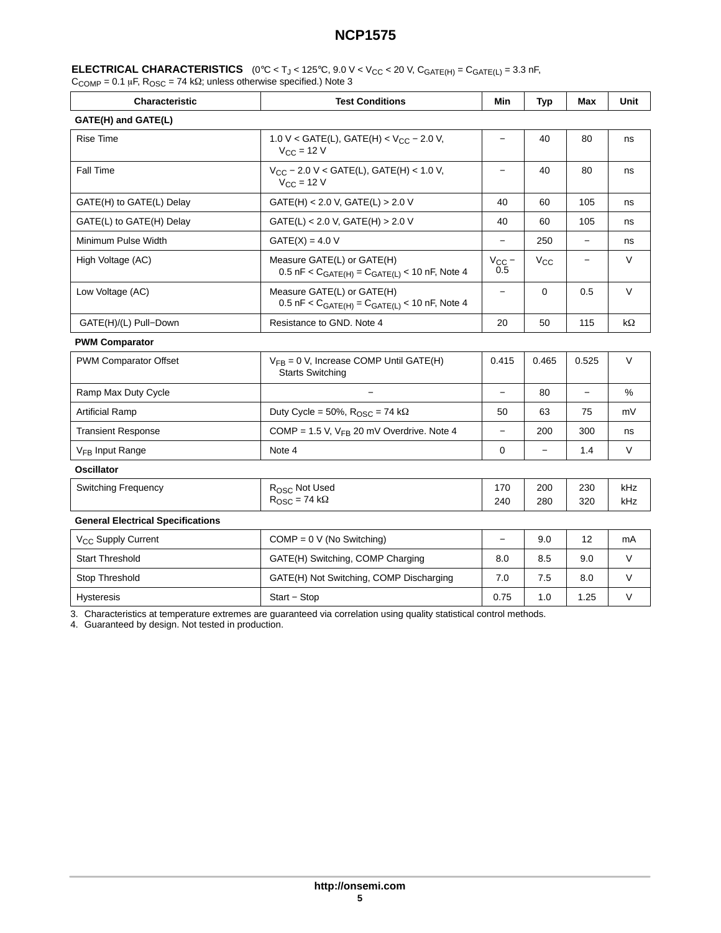|                                                                                                    | <b>ELECTRICAL CHARACTERISTICS</b> (0°C < T <sub>J</sub> < 125°C, 9.0 V < V <sub>CC</sub> < 20 V, C <sub>GATE(H)</sub> = C <sub>GATE(L)</sub> = 3.3 nF, |
|----------------------------------------------------------------------------------------------------|--------------------------------------------------------------------------------------------------------------------------------------------------------|
| $C_{\text{COMP}}$ = 0.1 µF, $R_{\text{OSC}}$ = 74 k $\Omega$ ; unless otherwise specified.) Note 3 |                                                                                                                                                        |

| Characteristic                           | <b>Test Conditions</b>                                                               | Min               | <b>Typ</b>   | Max        | Unit       |
|------------------------------------------|--------------------------------------------------------------------------------------|-------------------|--------------|------------|------------|
| GATE(H) and GATE(L)                      |                                                                                      |                   |              |            |            |
| <b>Rise Time</b>                         | 1.0 V < GATE(L), GATE(H) < $V_{CC}$ – 2.0 V,<br>$V_{CC}$ = 12 V                      | $\equiv$          | 40           | 80         | ns         |
| Fall Time                                | $V_{CC}$ – 2.0 V < GATE(L), GATE(H) < 1.0 V,<br>$V_{CC}$ = 12 V                      | $\qquad \qquad -$ | 40           | 80         | ns         |
| GATE(H) to GATE(L) Delay                 | $GATE(H) < 2.0 V$ , $GATE(L) > 2.0 V$                                                | 40                | 60           | 105        | ns         |
| GATE(L) to GATE(H) Delay                 | GATE(L) < 2.0 V, GATE(H) > 2.0 V                                                     | 40                | 60           | 105        | ns         |
| Minimum Pulse Width                      | $GATE(X) = 4.0 V$                                                                    |                   | 250          |            | ns         |
| High Voltage (AC)                        | Measure GATE(L) or GATE(H)<br>$0.5$ nF < $C_{GATE(H)} = C_{GATE(L)}$ < 10 nF, Note 4 | $V_{CC}$ –<br>0.5 | $V_{\rm CC}$ |            | $\vee$     |
| Low Voltage (AC)                         | Measure GATE(L) or GATE(H)<br>0.5 nF < $C_{GATE(H)} = C_{GATE(L)}$ < 10 nF, Note 4   | $\qquad \qquad -$ | $\mathbf 0$  | 0.5        | $\vee$     |
| GATE(H)/(L) Pull-Down                    | Resistance to GND. Note 4                                                            | 20                | 50           | 115        | $k\Omega$  |
| <b>PWM Comparator</b>                    |                                                                                      |                   |              |            |            |
| <b>PWM Comparator Offset</b>             | $V_{FB} = 0 V$ , Increase COMP Until GATE(H)<br><b>Starts Switching</b>              | 0.415             | 0.465        | 0.525      | $\vee$     |
| Ramp Max Duty Cycle                      |                                                                                      | $\equiv$          | 80           |            | %          |
| <b>Artificial Ramp</b>                   | Duty Cycle = 50%, $R_{\text{OSC}}$ = 74 k $\Omega$                                   | 50                | 63           | 75         | mV         |
| <b>Transient Response</b>                | COMP = 1.5 V, $V_{FB}$ 20 mV Overdrive. Note 4                                       | $\frac{1}{2}$     | 200          | 300        | ns         |
| V <sub>FR</sub> Input Range              | Note 4                                                                               | $\Omega$          |              | 1.4        | V          |
| <b>Oscillator</b>                        |                                                                                      |                   |              |            |            |
| <b>Switching Frequency</b>               | R <sub>OSC</sub> Not Used<br>$R_{\text{OSC}} = 74 \text{ k}\Omega$                   | 170<br>240        | 200<br>280   | 230<br>320 | kHz<br>kHz |
| <b>General Electrical Specifications</b> |                                                                                      |                   |              |            |            |
| V <sub>CC</sub> Supply Current           | $COMP = 0 V (No Switching)$                                                          | $\equiv$          | 9.0          | 12         | mA         |
| <b>Start Threshold</b>                   | GATE(H) Switching, COMP Charging                                                     | 8.0               | 8.5          | 9.0        | $\vee$     |
| Stop Threshold                           | GATE(H) Not Switching, COMP Discharging                                              | 7.0               | 7.5          | 8.0        | $\vee$     |
| <b>Hysteresis</b>                        | Start - Stop                                                                         | 0.75              | 1.0          | 1.25       | $\vee$     |

3. Characteristics at temperature extremes are guaranteed via correlation using quality statistical control methods.

4. Guaranteed by design. Not tested in production.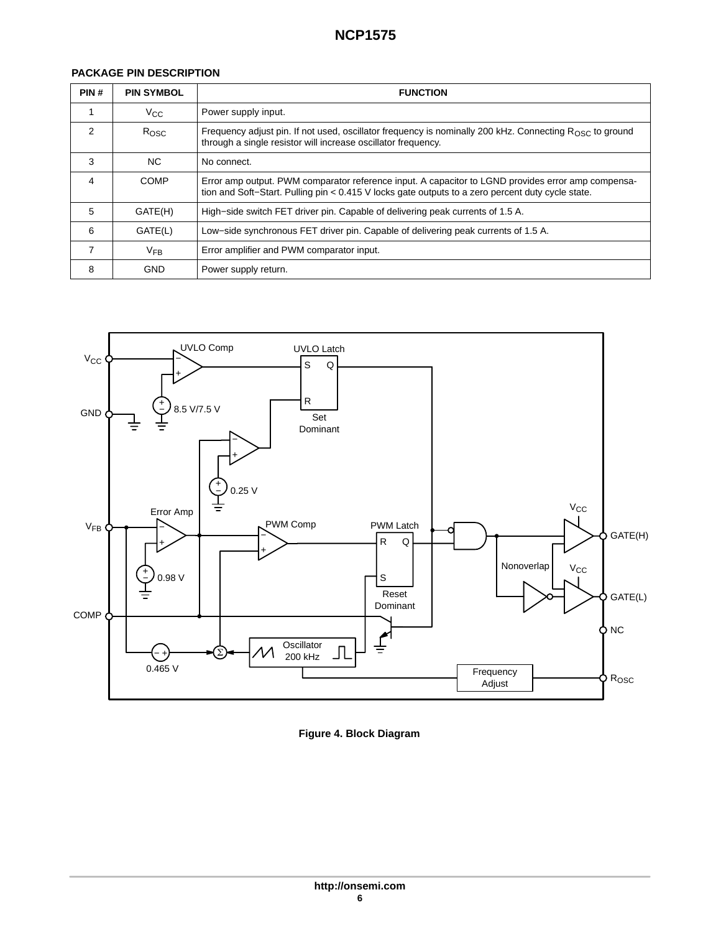# **PACKAGE PIN DESCRIPTION**

| PIN#          | <b>PIN SYMBOL</b> | <b>FUNCTION</b>                                                                                                                                                                                         |
|---------------|-------------------|---------------------------------------------------------------------------------------------------------------------------------------------------------------------------------------------------------|
|               | $V_{\rm CC}$      | Power supply input.                                                                                                                                                                                     |
| $\mathcal{P}$ | Rosc              | Frequency adjust pin. If not used, oscillator frequency is nominally 200 kHz. Connecting $R_{\text{OSC}}$ to ground<br>through a single resistor will increase oscillator frequency.                    |
| 3             | NC.               | No connect.                                                                                                                                                                                             |
| 4             | COMP              | Error amp output. PWM comparator reference input. A capacitor to LGND provides error amp compensa-<br>tion and Soft-Start. Pulling pin < 0.415 V locks gate outputs to a zero percent duty cycle state. |
| 5             | GATE(H)           | High–side switch FET driver pin. Capable of delivering peak currents of 1.5 A.                                                                                                                          |
| 6             | GATE(L)           | Low–side synchronous FET driver pin. Capable of delivering peak currents of 1.5 A.                                                                                                                      |
|               | $V_{FB}$          | Error amplifier and PWM comparator input.                                                                                                                                                               |
| 8             | <b>GND</b>        | Power supply return.                                                                                                                                                                                    |



**Figure 4. Block Diagram**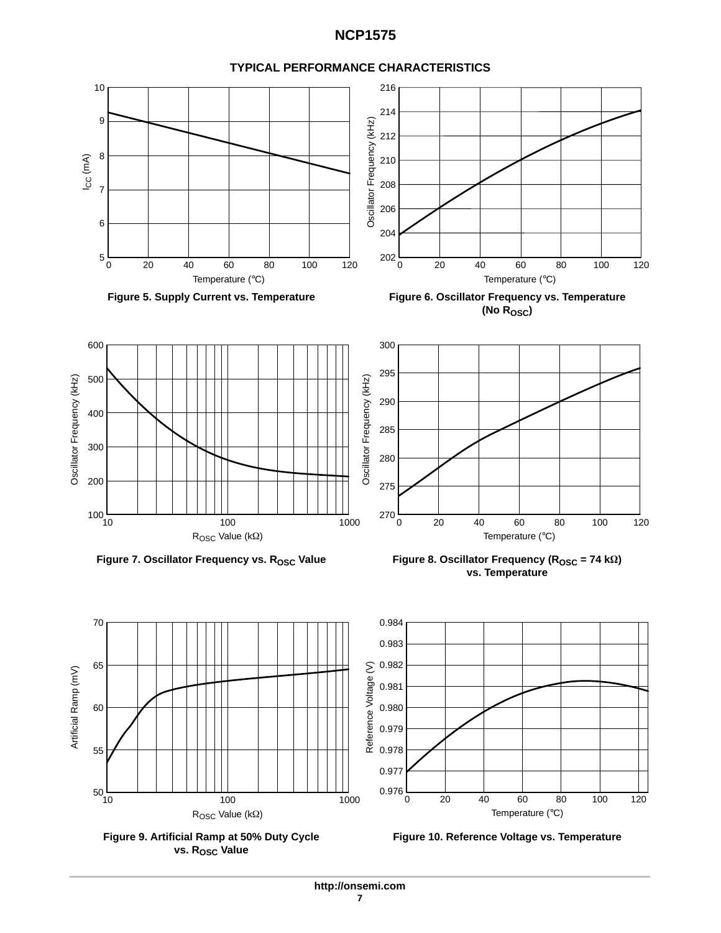

**TYPICAL PERFORMANCE CHARACTERISTICS**







**Figure 10. Reference Voltage vs. Temperature**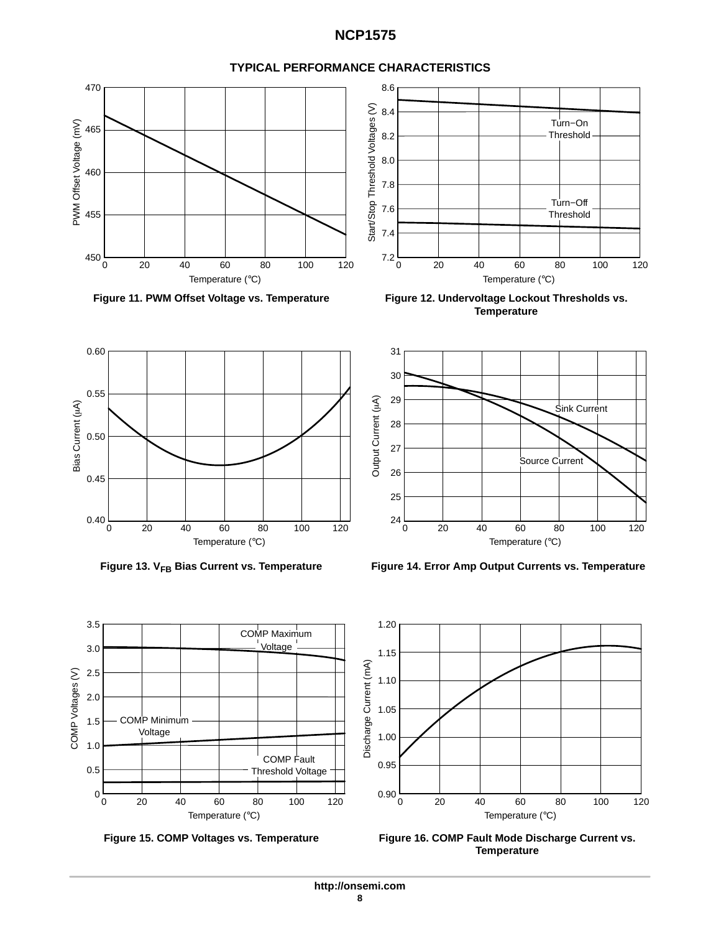

# **TYPICAL PERFORMANCE CHARACTERISTICS**













0 0

3.5

3.0

2.5 2.0

1.5

COMP Voltages (V)

COMP Voltages (V)

1.0

0.5



Figure 13. V<sub>FB</sub> Bias Current vs. Temperature Figure 14. Error Amp Output Currents vs. Temperature



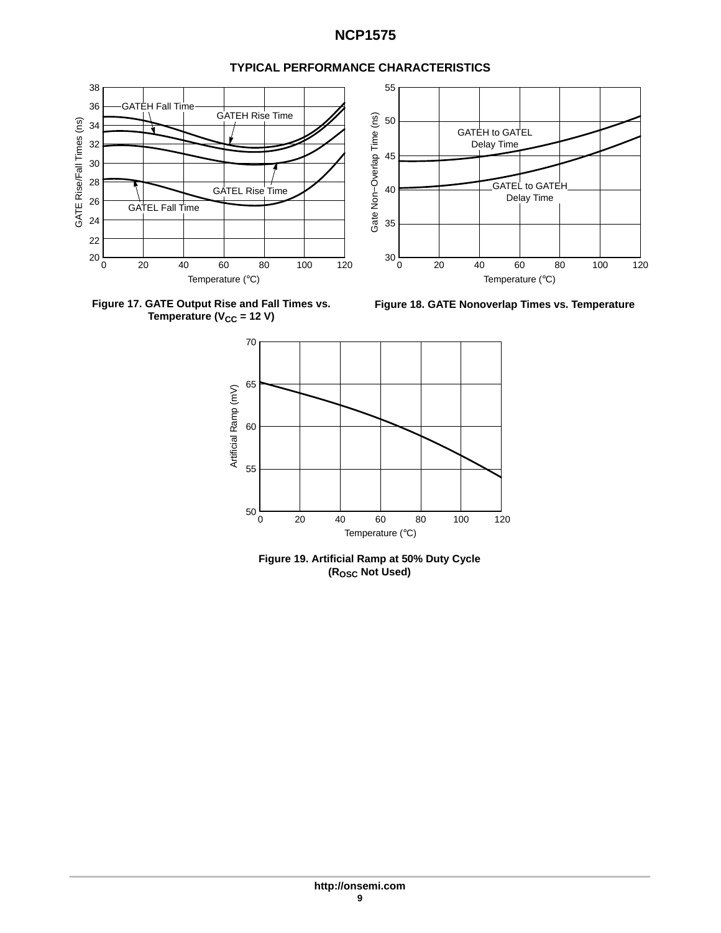

# **TYPICAL PERFORMANCE CHARACTERISTICS**







**Figure 19. Artificial Ramp at 50% Duty Cycle (ROSC Not Used)**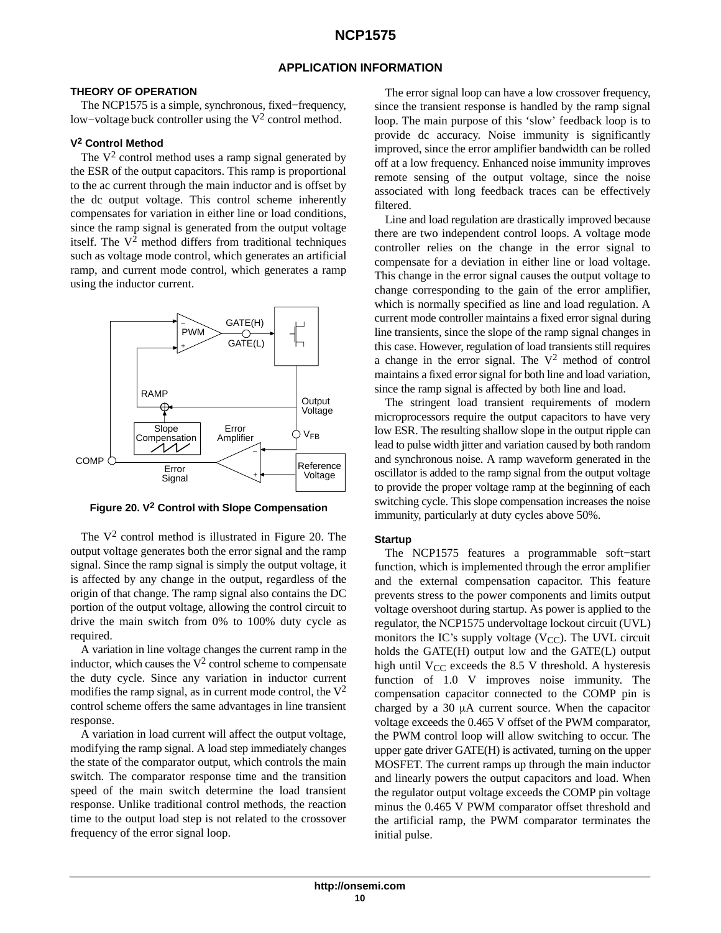# **APPLICATION INFORMATION**

### **THEORY OF OPERATION**

The NCP1575 is a simple, synchronous, fixed−frequency, low−voltage buck controller using the V2 control method.

# **V2 Control Method**

The  $V^2$  control method uses a ramp signal generated by the ESR of the output capacitors. This ramp is proportional to the ac current through the main inductor and is offset by the dc output voltage. This control scheme inherently compensates for variation in either line or load conditions, since the ramp signal is generated from the output voltage itself. The  $V^2$  method differs from traditional techniques such as voltage mode control, which generates an artificial ramp, and current mode control, which generates a ramp using the inductor current.



**Figure 20. V2 Control with Slope Compensation**

The  $V^2$  control method is illustrated in Figure 20. The output voltage generates both the error signal and the ramp signal. Since the ramp signal is simply the output voltage, it is affected by any change in the output, regardless of the origin of that change. The ramp signal also contains the DC portion of the output voltage, allowing the control circuit to drive the main switch from 0% to 100% duty cycle as required.

A variation in line voltage changes the current ramp in the inductor, which causes the  $V^2$  control scheme to compensate the duty cycle. Since any variation in inductor current modifies the ramp signal, as in current mode control, the  $V^2$ control scheme offers the same advantages in line transient response.

A variation in load current will affect the output voltage, modifying the ramp signal. A load step immediately changes the state of the comparator output, which controls the main switch. The comparator response time and the transition speed of the main switch determine the load transient response. Unlike traditional control methods, the reaction time to the output load step is not related to the crossover frequency of the error signal loop.

The error signal loop can have a low crossover frequency, since the transient response is handled by the ramp signal loop. The main purpose of this 'slow' feedback loop is to provide dc accuracy. Noise immunity is significantly improved, since the error amplifier bandwidth can be rolled off at a low frequency. Enhanced noise immunity improves remote sensing of the output voltage, since the noise associated with long feedback traces can be effectively filtered.

Line and load regulation are drastically improved because there are two independent control loops. A voltage mode controller relies on the change in the error signal to compensate for a deviation in either line or load voltage. This change in the error signal causes the output voltage to change corresponding to the gain of the error amplifier, which is normally specified as line and load regulation. A current mode controller maintains a fixed error signal during line transients, since the slope of the ramp signal changes in this case. However, regulation of load transients still requires a change in the error signal. The  $V^2$  method of control maintains a fixed error signal for both line and load variation, since the ramp signal is affected by both line and load.

The stringent load transient requirements of modern microprocessors require the output capacitors to have very low ESR. The resulting shallow slope in the output ripple can lead to pulse width jitter and variation caused by both random and synchronous noise. A ramp waveform generated in the oscillator is added to the ramp signal from the output voltage to provide the proper voltage ramp at the beginning of each switching cycle. This slope compensation increases the noise immunity, particularly at duty cycles above 50%.

#### **Startup**

The NCP1575 features a programmable soft−start function, which is implemented through the error amplifier and the external compensation capacitor. This feature prevents stress to the power components and limits output voltage overshoot during startup. As power is applied to the regulator, the NCP1575 undervoltage lockout circuit (UVL) monitors the IC's supply voltage  $(V_{CC})$ . The UVL circuit holds the GATE(H) output low and the GATE(L) output high until  $V_{CC}$  exceeds the 8.5 V threshold. A hysteresis function of 1.0 V improves noise immunity. The compensation capacitor connected to the COMP pin is charged by a  $30 \mu A$  current source. When the capacitor voltage exceeds the 0.465 V offset of the PWM comparator, the PWM control loop will allow switching to occur. The upper gate driver GATE(H) is activated, turning on the upper MOSFET. The current ramps up through the main inductor and linearly powers the output capacitors and load. When the regulator output voltage exceeds the COMP pin voltage minus the 0.465 V PWM comparator offset threshold and the artificial ramp, the PWM comparator terminates the initial pulse.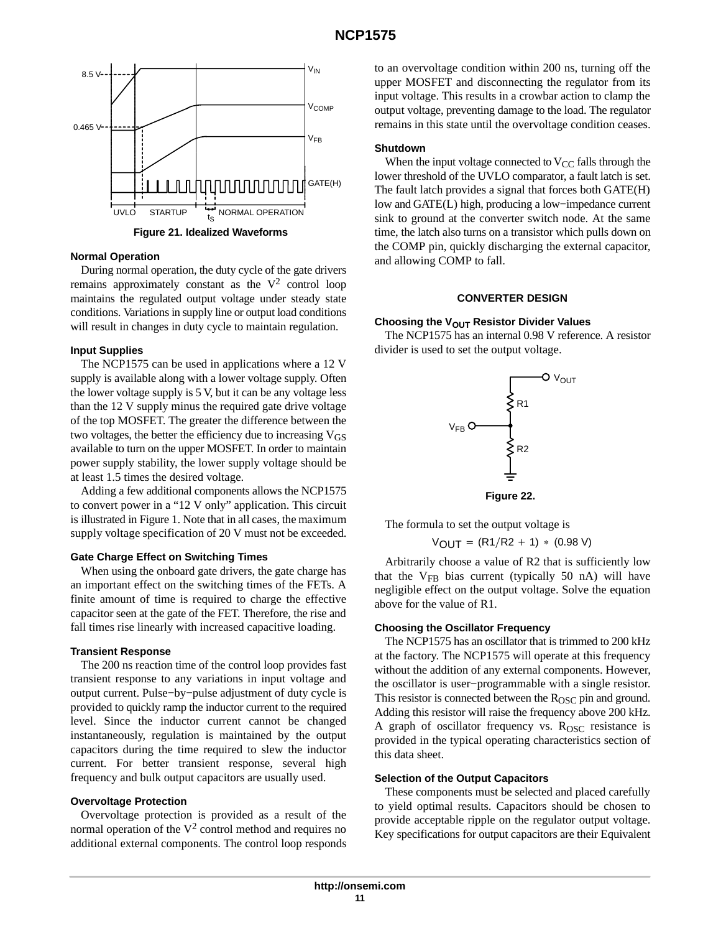

**Figure 21. Idealized Waveforms**

#### **Normal Operation**

During normal operation, the duty cycle of the gate drivers remains approximately constant as the  $V^2$  control loop maintains the regulated output voltage under steady state conditions. Variations in supply line or output load conditions will result in changes in duty cycle to maintain regulation.

#### **Input Supplies**

The NCP1575 can be used in applications where a 12 V supply is available along with a lower voltage supply. Often the lower voltage supply is 5 V, but it can be any voltage less than the 12 V supply minus the required gate drive voltage of the top MOSFET. The greater the difference between the two voltages, the better the efficiency due to increasing  $V_{GS}$ available to turn on the upper MOSFET. In order to maintain power supply stability, the lower supply voltage should be at least 1.5 times the desired voltage.

Adding a few additional components allows the NCP1575 to convert power in a "12 V only" application. This circuit is illustrated in Figure [1.](#page-1-0) Note that in all cases, the maximum supply voltage specification of 20 V must not be exceeded.

#### **Gate Charge Effect on Switching Times**

When using the onboard gate drivers, the gate charge has an important effect on the switching times of the FETs. A finite amount of time is required to charge the effective capacitor seen at the gate of the FET. Therefore, the rise and fall times rise linearly with increased capacitive loading.

#### **Transient Response**

The 200 ns reaction time of the control loop provides fast transient response to any variations in input voltage and output current. Pulse−by−pulse adjustment of duty cycle is provided to quickly ramp the inductor current to the required level. Since the inductor current cannot be changed instantaneously, regulation is maintained by the output capacitors during the time required to slew the inductor current. For better transient response, several high frequency and bulk output capacitors are usually used.

#### **Overvoltage Protection**

Overvoltage protection is provided as a result of the normal operation of the  $V^2$  control method and requires no additional external components. The control loop responds to an overvoltage condition within 200 ns, turning off the upper MOSFET and disconnecting the regulator from its input voltage. This results in a crowbar action to clamp the output voltage, preventing damage to the load. The regulator remains in this state until the overvoltage condition ceases.

#### **Shutdown**

When the input voltage connected to  $V_{CC}$  falls through the lower threshold of the UVLO comparator, a fault latch is set. The fault latch provides a signal that forces both GATE(H) low and GATE(L) high, producing a low−impedance current sink to ground at the converter switch node. At the same time, the latch also turns on a transistor which pulls down on the COMP pin, quickly discharging the external capacitor, and allowing COMP to fall.

#### **CONVERTER DESIGN**

#### **Choosing the V<sub>OUT</sub> Resistor Divider Values**

The NCP1575 has an internal 0.98 V reference. A resistor divider is used to set the output voltage.





The formula to set the output voltage is

 $V_{\text{OUT}} = (R1/R2 + 1) * (0.98 V)$ 

Arbitrarily choose a value of R2 that is sufficiently low that the V<sub>FB</sub> bias current (typically 50 nA) will have negligible effect on the output voltage. Solve the equation above for the value of R1.

#### **Choosing the Oscillator Frequency**

The NCP1575 has an oscillator that is trimmed to 200 kHz at the factory. The NCP1575 will operate at this frequency without the addition of any external components. However, the oscillator is user−programmable with a single resistor. This resistor is connected between the R<sub>OSC</sub> pin and ground. Adding this resistor will raise the frequency above 200 kHz. A graph of oscillator frequency vs.  $R<sub>OSC</sub>$  resistance is provided in the typical operating characteristics section of this data sheet.

#### **Selection of the Output Capacitors**

These components must be selected and placed carefully to yield optimal results. Capacitors should be chosen to provide acceptable ripple on the regulator output voltage. Key specifications for output capacitors are their Equivalent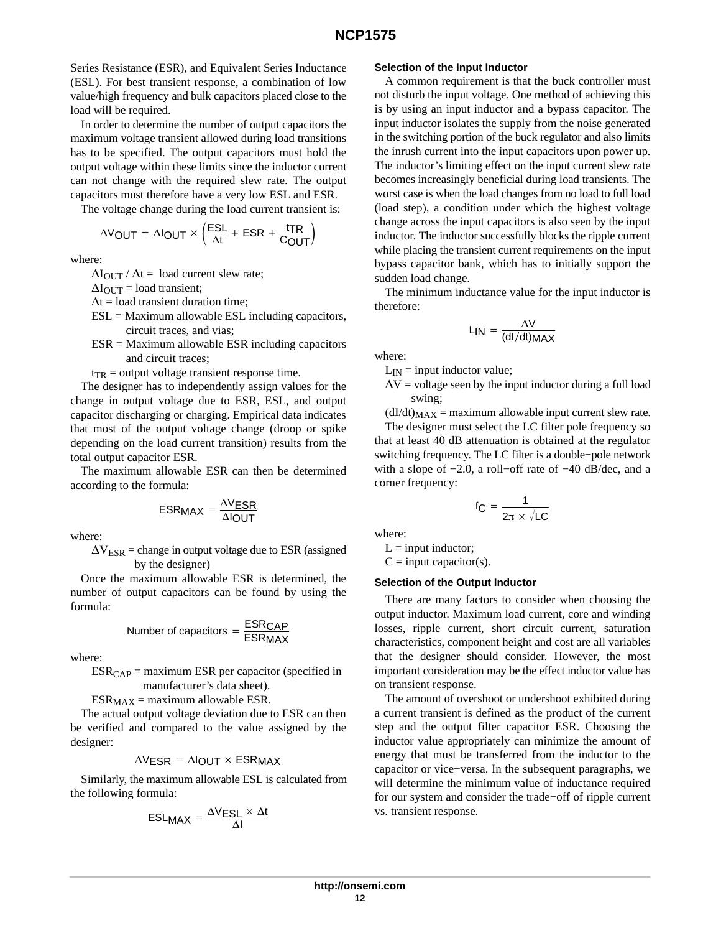Series Resistance (ESR), and Equivalent Series Inductance (ESL). For best transient response, a combination of low value/high frequency and bulk capacitors placed close to the load will be required.

In order to determine the number of output capacitors the maximum voltage transient allowed during load transitions has to be specified. The output capacitors must hold the output voltage within these limits since the inductor current can not change with the required slew rate. The output capacitors must therefore have a very low ESL and ESR.

The voltage change during the load current transient is:

$$
\Delta V_{\text{OUT}} = \Delta I_{\text{OUT}} \times \left(\frac{\text{ESL}}{\Delta t} + \text{ESR} + \frac{\text{tr}}{\text{COUT}}\right)
$$

where:

 $\Delta I_{\text{OUT}}$  /  $\Delta t$  = load current slew rate;

 $\Delta I_{\text{OUT}} =$  load transient;

 $\Delta t$  = load transient duration time;

- $ESL =$  Maximum allowable  $ESL$  including capacitors, circuit traces, and vias;
- $ESR =$  Maximum allowable  $ESR$  including capacitors and circuit traces;

 $t_{TR}$  = output voltage transient response time.

The designer has to independently assign values for the change in output voltage due to ESR, ESL, and output capacitor discharging or charging. Empirical data indicates that most of the output voltage change (droop or spike depending on the load current transition) results from the total output capacitor ESR.

The maximum allowable ESR can then be determined according to the formula:

$$
ESRMAX = \frac{\Delta VESR}{\Delta IOUT}
$$

where:

 $\Delta V_{ESR}$  = change in output voltage due to ESR (assigned by the designer)

Once the maximum allowable ESR is determined, the number of output capacitors can be found by using the formula:

Number of capacitors = 
$$
\frac{\text{ESR}_{\text{CAP}}}{\text{ESR}_{\text{MAX}}}
$$

where:

 $ESR_{CAP} =$  maximum ESR per capacitor (specified in manufacturer's data sheet).

 $ESR_{MAX}$  = maximum allowable ESR.

The actual output voltage deviation due to ESR can then be verified and compared to the value assigned by the designer:

$$
\Delta V_{ESR} = \Delta I_{OUT} \times ESR_{MAX}
$$

Similarly, the maximum allowable ESL is calculated from the following formula:

$$
ESLMAX = \frac{\Delta VESL \times \Delta t}{\Delta I}
$$

#### **Selection of the Input Inductor**

A common requirement is that the buck controller must not disturb the input voltage. One method of achieving this is by using an input inductor and a bypass capacitor. The input inductor isolates the supply from the noise generated in the switching portion of the buck regulator and also limits the inrush current into the input capacitors upon power up. The inductor's limiting effect on the input current slew rate becomes increasingly beneficial during load transients. The worst case is when the load changes from no load to full load (load step), a condition under which the highest voltage change across the input capacitors is also seen by the input inductor. The inductor successfully blocks the ripple current while placing the transient current requirements on the input bypass capacitor bank, which has to initially support the sudden load change.

The minimum inductance value for the input inductor is therefore:

$$
L_{IN} = \frac{\Delta V}{(dl/dt)MAX}
$$

where:

 $L_{IN}$  = input inductor value;

 $\Delta V$  = voltage seen by the input inductor during a full load swing;

 $(dI/dt)_{MAX}$  = maximum allowable input current slew rate.

The designer must select the LC filter pole frequency so that at least 40 dB attenuation is obtained at the regulator switching frequency. The LC filter is a double−pole network with a slope of −2.0, a roll−off rate of −40 dB/dec, and a corner frequency:

$$
f_C = \frac{1}{2\pi \times \sqrt{LC}}
$$

where:

 $L = input inductor;$ 

 $C = input capacitor(s)$ .

#### **Selection of the Output Inductor**

There are many factors to consider when choosing the output inductor. Maximum load current, core and winding losses, ripple current, short circuit current, saturation characteristics, component height and cost are all variables that the designer should consider. However, the most important consideration may be the effect inductor value has on transient response.

The amount of overshoot or undershoot exhibited during a current transient is defined as the product of the current step and the output filter capacitor ESR. Choosing the inductor value appropriately can minimize the amount of energy that must be transferred from the inductor to the capacitor or vice−versa. In the subsequent paragraphs, we will determine the minimum value of inductance required for our system and consider the trade−off of ripple current vs. transient response.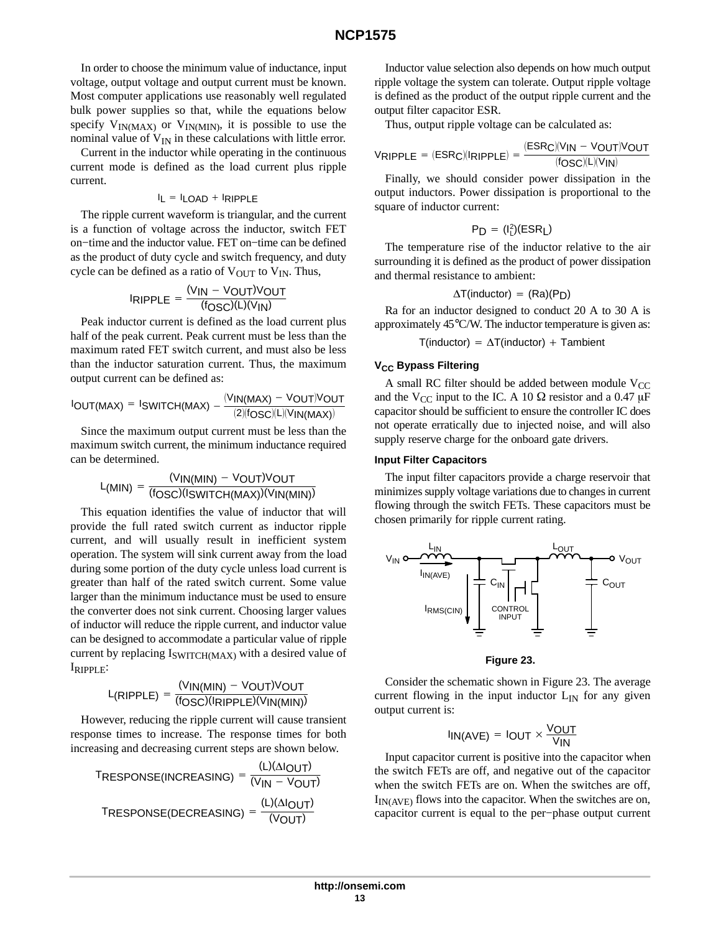In order to choose the minimum value of inductance, input voltage, output voltage and output current must be known. Most computer applications use reasonably well regulated bulk power supplies so that, while the equations below specify  $V_{IN(MAX)}$  or  $V_{IN(MIN)}$ , it is possible to use the nominal value of  $V_{IN}$  in these calculations with little error.

Current in the inductor while operating in the continuous current mode is defined as the load current plus ripple current.

$$
I_L = I_{LOAD} + I_{RIPPLE}
$$

The ripple current waveform is triangular, and the current is a function of voltage across the inductor, switch FET on−time and the inductor value. FET on−time can be defined as the product of duty cycle and switch frequency, and duty cycle can be defined as a ratio of  $V_{\text{OUT}}$  to  $V_{\text{IN}}$ . Thus,

$$
IRIPPLE = \frac{(V_{IN} - V_{OUT})V_{OUT}}{(f_{OSC})(L)(V_{IN})}
$$

Peak inductor current is defined as the load current plus half of the peak current. Peak current must be less than the maximum rated FET switch current, and must also be less than the inductor saturation current. Thus, the maximum output current can be defined as:

$$
IOUT(MAX) = ISWITCH(MAX) - \frac{(VIN(MAX) - VOUT)VOUT}{(2)(fOSC)(L)(VIN(MAX))}
$$

Since the maximum output current must be less than the maximum switch current, the minimum inductance required can be determined.

$$
L_{(MIN)} = \frac{(V_{IN(MIN)} - V_{OUT})V_{OUT}}{(f_{OSC})(I_{SWITCH(MAX)})(V_{IN(MIN)})}
$$

This equation identifies the value of inductor that will provide the full rated switch current as inductor ripple current, and will usually result in inefficient system operation. The system will sink current away from the load during some portion of the duty cycle unless load current is greater than half of the rated switch current. Some value larger than the minimum inductance must be used to ensure the converter does not sink current. Choosing larger values of inductor will reduce the ripple current, and inductor value can be designed to accommodate a particular value of ripple current by replacing  $I_{\text{SWITCH}(MAX)}$  with a desired value of IRIPPLE:

$$
L(RIPPLE) = \frac{(VIN(MIN) - VOUT)VOUT}{(fOSC)(IRIPPLE)(VIN(MIN))}
$$

However, reducing the ripple current will cause transient response times to increase. The response times for both increasing and decreasing current steps are shown below.

$$
T_{RESPONSE(INCREASING)} = \frac{(L)(\Delta I_{OUT})}{(V_{IN} - V_{OUT})}
$$
  

$$
T_{RESPONSE(DECREASING)} = \frac{(L)(\Delta I_{OUT})}{(V_{OUT})}
$$

Inductor value selection also depends on how much output ripple voltage the system can tolerate. Output ripple voltage is defined as the product of the output ripple current and the output filter capacitor ESR.

Thus, output ripple voltage can be calculated as:

$$
V_{\text{RIPPLE}}\,=\,(\text{ESR}_\text{C})(I_{\text{RIPPLE}})\,=\,\frac{(\text{ESR}_\text{C})(V_{\text{IN}}\,-\,V_{\text{OUT}})V_{\text{OUT}}}{(f_{\text{OSC}})(L)(V_{\text{IN}})}
$$

Finally, we should consider power dissipation in the output inductors. Power dissipation is proportional to the square of inductor current:

$$
P_D = (I_L^2)(ESR_L)
$$

The temperature rise of the inductor relative to the air surrounding it is defined as the product of power dissipation and thermal resistance to ambient:

$$
\Delta T(\text{inductor})\,=\,(\text{Ra})(\text{P}_D)
$$

Ra for an inductor designed to conduct 20 A to 30 A is approximately 45°C/W. The inductor temperature is given as:

$$
T(inductor) = \Delta T(inductor) + Tambient
$$

### **V<sub>CC</sub> Bypass Filtering**

A small RC filter should be added between module  $V_{CC}$ and the V<sub>CC</sub> input to the IC. A 10  $\Omega$  resistor and a 0.47  $\mu$ F capacitor should be sufficient to ensure the controller IC does not operate erratically due to injected noise, and will also supply reserve charge for the onboard gate drivers.

### **Input Filter Capacitors**

The input filter capacitors provide a charge reservoir that minimizes supply voltage variations due to changes in current flowing through the switch FETs. These capacitors must be chosen primarily for ripple current rating.



#### **Figure 23.**

Consider the schematic shown in Figure 23. The average current flowing in the input inductor  $L_{IN}$  for any given output current is:

$$
I_{IN(AVE)} = I_{OUT} \times \frac{V_{OUT}}{V_{IN}}
$$

Input capacitor current is positive into the capacitor when the switch FETs are off, and negative out of the capacitor when the switch FETs are on. When the switches are off,  $I_{IN(AVF)}$  flows into the capacitor. When the switches are on, capacitor current is equal to the per−phase output current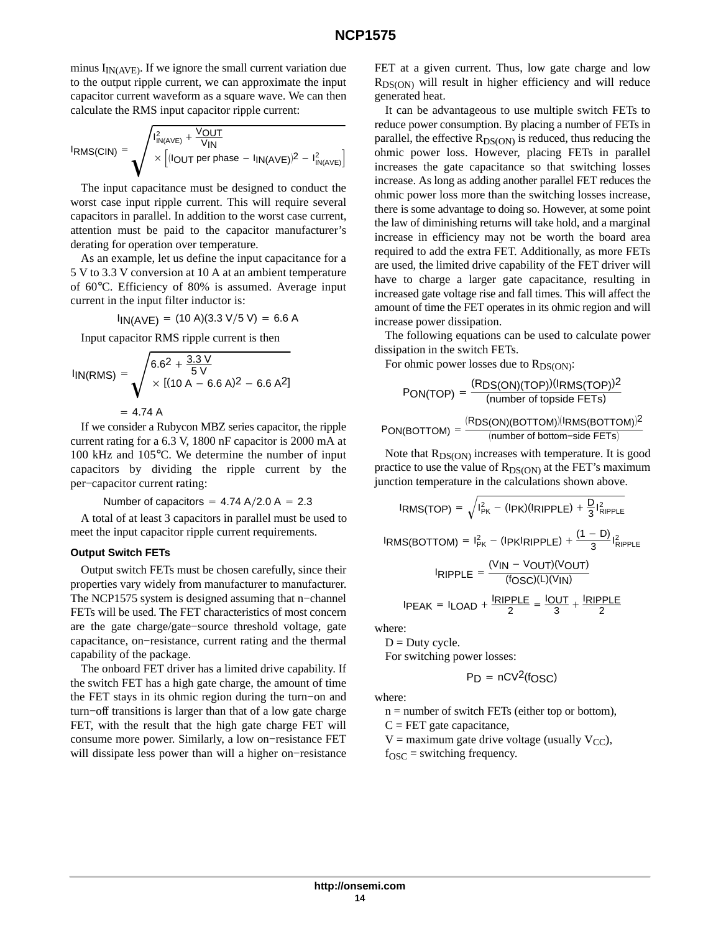minus  $I_{IN(AVE)}$ . If we ignore the small current variation due to the output ripple current, we can approximate the input capacitor current waveform as a square wave. We can then calculate the RMS input capacitor ripple current:

$$
I_{RMS(CIN)} = \sqrt{\frac{I_{IN(AVE)}^2 + \frac{V_{OUT}}{V_{IN}}}{\times \left[ (I_{OUT} \text{ per phase} - I_{IN(AVE)})^2 - I_{IN(AVE)}^2 \right]}}
$$

The input capacitance must be designed to conduct the worst case input ripple current. This will require several capacitors in parallel. In addition to the worst case current, attention must be paid to the capacitor manufacturer's derating for operation over temperature.

As an example, let us define the input capacitance for a 5 V to 3.3 V conversion at 10 A at an ambient temperature of 60°C. Efficiency of 80% is assumed. Average input current in the input filter inductor is:

$$
I_{IN(AVE)} = (10 \text{ A})(3.3 \text{ V}/5 \text{ V}) = 6.6 \text{ A}
$$

Input capacitor RMS ripple current is then

$$
I_{IN(RMS)} = \sqrt{\frac{6.62 + \frac{3.3 \text{ V}}{5 \text{ V}}}{\times [(10 \text{ A} - 6.6 \text{ A})^2 - 6.6 \text{ A}^2]}}
$$
  
= 4.74 A

If we consider a Rubycon MBZ series capacitor, the ripple current rating for a 6.3 V, 1800 nF capacitor is 2000 mA at 100 kHz and 105°C. We determine the number of input capacitors by dividing the ripple current by the per−capacitor current rating:

Number of capacitors =  $4.74$  A/2.0 A = 2.3

A total of at least 3 capacitors in parallel must be used to meet the input capacitor ripple current requirements.

#### **Output Switch FETs**

Output switch FETs must be chosen carefully, since their properties vary widely from manufacturer to manufacturer. The NCP1575 system is designed assuming that n−channel FETs will be used. The FET characteristics of most concern are the gate charge/gate−source threshold voltage, gate capacitance, on−resistance, current rating and the thermal capability of the package.

The onboard FET driver has a limited drive capability. If the switch FET has a high gate charge, the amount of time the FET stays in its ohmic region during the turn−on and turn−off transitions is larger than that of a low gate charge FET, with the result that the high gate charge FET will consume more power. Similarly, a low on−resistance FET will dissipate less power than will a higher on−resistance FET at a given current. Thus, low gate charge and low  $R_{DS(ON)}$  will result in higher efficiency and will reduce generated heat.

It can be advantageous to use multiple switch FETs to reduce power consumption. By placing a number of FETs in parallel, the effective  $R_{DS(ON)}$  is reduced, thus reducing the ohmic power loss. However, placing FETs in parallel increases the gate capacitance so that switching losses increase. As long as adding another parallel FET reduces the ohmic power loss more than the switching losses increase, there is some advantage to doing so. However, at some point the law of diminishing returns will take hold, and a marginal increase in efficiency may not be worth the board area required to add the extra FET. Additionally, as more FETs are used, the limited drive capability of the FET driver will have to charge a larger gate capacitance, resulting in increased gate voltage rise and fall times. This will affect the amount of time the FET operates in its ohmic region and will increase power dissipation.

The following equations can be used to calculate power dissipation in the switch FETs.

For ohmic power losses due to  $R_{DS(ON)}$ :

$$
PON(TOP) = \frac{(RDS(ON)(TOP))(IRMS(TOP))^2}{(number of topicside FETS)}
$$

$$
PON(BOTTOM) = \frac{(RDS(ON)(BOTTOM)/(IRMS(BOTTOM))^2}{(number of bottom-side FETS)}
$$

Note that  $R_{DS(ON)}$  increases with temperature. It is good practice to use the value of  $R_{DS(ON)}$  at the FET's maximum junction temperature in the calculations shown above.

$$
I_{RMS(TOP)} = \sqrt{I_{PK}^{2} - (I_{PK})(I_{RIPPLE}) + \frac{D}{3}I_{RIPPLE}^{2}}
$$
  
\n
$$
I_{RMS(BOTTOM)} = I_{PK}^{2} - (I_{PK}I_{RIPPLE}) + \frac{(1 - D)}{3}I_{RIPPLE}^{2}
$$
  
\n
$$
I_{RIPPLE} = \frac{(V_{IN} - V_{OUT})(V_{OUT})}{(f_{OSC})(L)(V_{IN})}
$$
  
\n
$$
I_{PEAK} = I_{LOAD} + \frac{I_{RIPPLE}}{2} = \frac{I_{OUT}}{3} + \frac{I_{RIPPLE}}{2}
$$

where:

 $D = Duty$  cycle. For switching power losses:

$$
P_D = nCV^2(fOSC)
$$

where:

 $n =$  number of switch FETs (either top or bottom),

 $C = FET$  gate capacitance,

 $V =$  maximum gate drive voltage (usually  $V_{CC}$ ),

 $f<sub>OSC</sub>$  = switching frequency.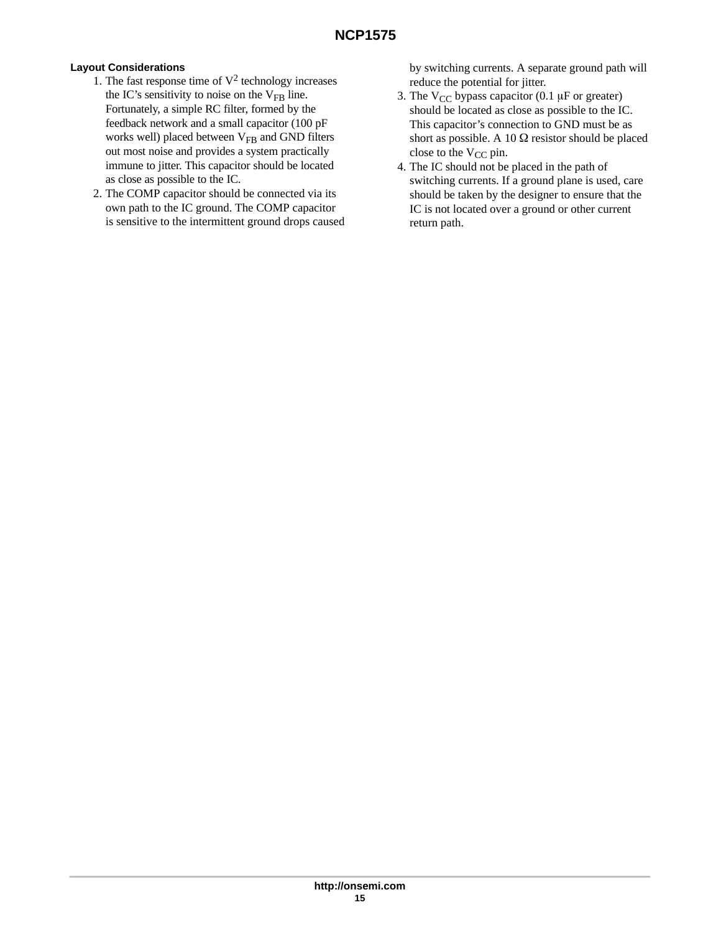# **Layout Considerations**

- 1. The fast response time of  $V^2$  technology increases the IC's sensitivity to noise on the  $V_{FB}$  line. Fortunately, a simple RC filter, formed by the feedback network and a small capacitor (100 pF works well) placed between  $V_{FB}$  and GND filters out most noise and provides a system practically immune to jitter. This capacitor should be located as close as possible to the IC.
- 2. The COMP capacitor should be connected via its own path to the IC ground. The COMP capacitor is sensitive to the intermittent ground drops caused

by switching currents. A separate ground path will reduce the potential for jitter.

- 3. The  $V_{CC}$  bypass capacitor (0.1  $\mu$ F or greater) should be located as close as possible to the IC. This capacitor's connection to GND must be as short as possible. A 10  $\Omega$  resistor should be placed close to the  $V_{CC}$  pin.
- 4. The IC should not be placed in the path of switching currents. If a ground plane is used, care should be taken by the designer to ensure that the IC is not located over a ground or other current return path.